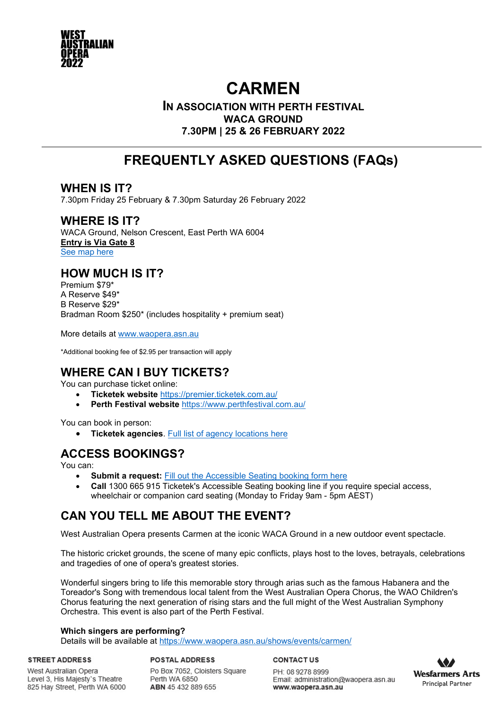

# **CARMEN**

### **IN ASSOCIATION WITH PERTH FESTIVAL WACA GROUND 7.30PM | 25 & 26 FEBRUARY 2022**

# **FREQUENTLY ASKED QUESTIONS (FAQs))**

# **WHEN IS IT?**

7.30pm Friday 25 February & 7.30pm Saturday 26 February 2022

### **WHERE IS IT?**

WACA Ground, Nelson Crescent, East Perth WA 6004 **Entry is Via Gate 8** [See map here](https://www.waopera.asn.au/media/fmnm10xz/waca-ground-map-carmen.pdf) 

# **HOW MUCH IS IT?**

Premium \$79\* A Reserve \$49\* B Reserve \$29\* Bradman Room \$250\* (includes hospitality + premium seat)

More details at [www.waopera.asn.au](https://www.waopera.asn.au/shows/events/carmen/) 

\*Additional booking fee of \$2.95 per transaction will apply

# **WHERE CAN I BUY TICKETS?**

You can purchase ticket online:

- **Ticketek website** <https://premier.ticketek.com.au/>
- **Perth Festival website** <https://www.perthfestival.com.au/>

You can book in person:

• **Ticketek agencies**. [Full list of agency](https://roar.memberlink.net.au/content/outlets/agencies_wa.aspx?langpref=ja) locations here

# **ACCESS BOOKINGS?**

You can:

- **Submit a request:** [Fill out the Accessible Seating booking form here](https://help.ticketek.com.au/hc/en-us/requests/new?ticket_form_id=360000134807)
- **Call** 1300 665 915 Ticketek's Accessible Seating booking line if you require special access, wheelchair or companion card seating (Monday to Friday 9am - 5pm AEST)

# **CAN YOU TELL ME ABOUT THE EVENT?**

West Australian Opera presents Carmen at the iconic WACA Ground in a new outdoor event spectacle.

The historic cricket grounds, the scene of many epic conflicts, plays host to the loves, betrayals, celebrations and tragedies of one of opera's greatest stories.

Wonderful singers bring to life this memorable story through arias such as the famous Habanera and the Toreador's Song with tremendous local talent from the West Australian Opera Chorus, the WAO Children's Chorus featuring the next generation of rising stars and the full might of the West Australian Symphony Orchestra. This event is also part of the Perth Festival.

#### **Which singers are performing?**

Details will be available at<https://www.waopera.asn.au/shows/events/carmen/>

**STREET ADDRESS** West Australian Opera

Level 3, His Majesty's Theatre

825 Hay Street, Perth WA 6000

**POSTAL ADDRESS** Po Box 7052, Cloisters Square Perth WA 6850 ABN 45 432 889 655

**CONTACTUS** 

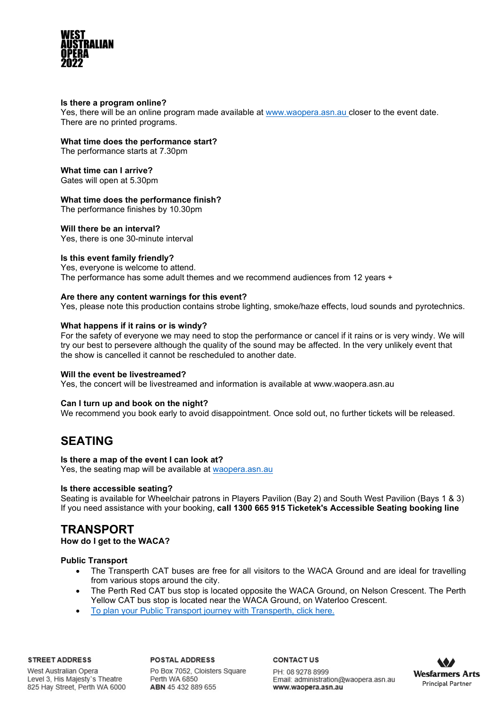

#### **Is there a program online?**

Yes, there will be an online program made available at [www.waopera.asn.au c](https://www.waopera.asn.au/shows/events/carmen/)loser to the event date. There are no printed programs.

### **What time does the performance start?**

The performance starts at 7.30pm

**What time can I arrive?** Gates will open at 5.30pm

#### **What time does the performance finish?**

The performance finishes by 10.30pm

#### **Will there be an interval?**

Yes, there is one 30-minute interval

#### **Is this event family friendly?**

Yes, everyone is welcome to attend. The performance has some adult themes and we recommend audiences from 12 years +

#### **Are there any content warnings for this event?**

Yes, please note this production contains strobe lighting, smoke/haze effects, loud sounds and pyrotechnics.

#### **What happens if it rains or is windy?**

For the safety of everyone we may need to stop the performance or cancel if it rains or is very windy. We will try our best to persevere although the quality of the sound may be affected. In the very unlikely event that the show is cancelled it cannot be rescheduled to another date.

#### **Will the event be livestreamed?**

Yes, the concert will be livestreamed and information is available at [www.waopera.asn.au](http://www.waopera.asn.au/)

#### **Can I turn up and book on the night?**

We recommend you book early to avoid disappointment. Once sold out, no further tickets will be released.

### **SEATING**

#### **Is there a map of the event I can look at?**

Yes, the seating map will be available at [waopera.asn.au](https://www.waopera.asn.au/media/fmnm10xz/waca-ground-map-carmen.pdf) 

#### **Is there accessible seating?**

Seating is available for Wheelchair patrons in Players Pavilion (Bay 2) and South West Pavilion (Bays 1 & 3) If you need assistance with your booking, **call 1300 665 915 Ticketek's Accessible Seating booking line**

### **TRANSPORT**

**How do I get to the WACA?**

#### **Public Transport**

- The Transperth CAT buses are free for all visitors to the WACA Ground and are ideal for travelling from various stops around the city.
- The Perth Red CAT bus stop is located opposite the WACA Ground, on Nelson Crescent. The Perth Yellow CAT bus stop is located near the WACA Ground, on Waterloo Crescent.
- [To plan your Public Transport journey with Transperth,](https://www.transperth.wa.gov.au/Journey-Planner) click here.

#### **STREET ADDRESS**

**POSTAL ADDRESS** 

West Australian Opera Level 3, His Majesty's Theatre 825 Hay Street, Perth WA 6000 Po Box 7052, Cloisters Square Perth WA 6850 ABN 45 432 889 655

**CONTACTUS** 

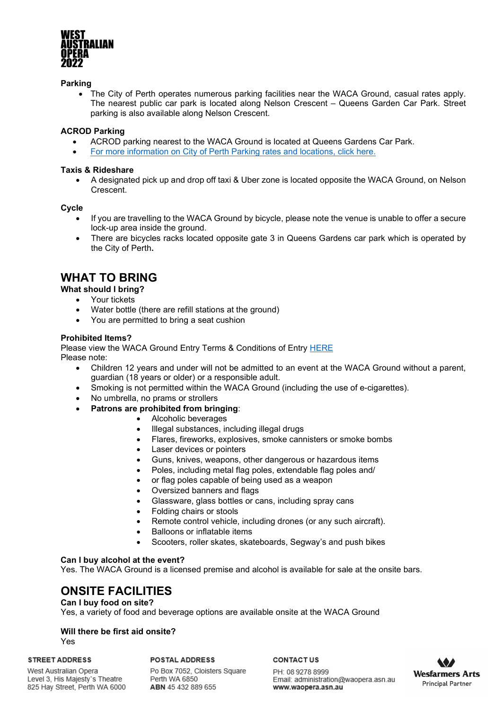

#### **Parking**

• The City of Perth operates numerous parking facilities near the WACA Ground, casual rates apply. The nearest public car park is located along Nelson Crescent – Queens Garden Car Park. Street parking is also available along Nelson Crescent.

#### **ACROD Parking**

- ACROD parking nearest to the WACA Ground is located at Queens Gardens Car Park.
- [For more information on City of Perth Parking rates and locations, click here.](https://www.cityofperthparking.com.au/)

#### **Taxis & Rideshare**

• A designated pick up and drop off taxi & Uber zone is located opposite the WACA Ground, on Nelson Crescent.

#### **Cycle**

- If you are travelling to the WACA Ground by bicycle, please note the venue is unable to offer a secure lock-up area inside the ground.
- There are bicycles racks located opposite gate 3 in Queens Gardens car park which is operated by the City of Perth**.**

### **WHAT TO BRING**

#### **What should I bring?**

- Your tickets
- Water bottle (there are refill stations at the ground)
- You are permitted to bring a seat cushion

#### **Prohibited Items?**

Please view the WACA Ground Entry Terms & Conditions of Entry [HERE](https://wacaground.com.au/wp-content/uploads/2020/09/WACA-Ground-conditions-of-entry-2020-21.pdf) Please note:

- Children 12 years and under will not be admitted to an event at the WACA Ground without a parent, guardian (18 years or older) or a responsible adult.
- Smoking is not permitted within the WACA Ground (including the use of e-cigarettes).
- No umbrella, no prams or strollers
- **Patrons are prohibited from bringing**:
	- Alcoholic beverages
	- Illegal substances, including illegal drugs
	- Flares, fireworks, explosives, smoke cannisters or smoke bombs
	- Laser devices or pointers
	- Guns, knives, weapons, other dangerous or hazardous items
	- Poles, including metal flag poles, extendable flag poles and/
	- or flag poles capable of being used as a weapon
	- Oversized banners and flags
	- Glassware, glass bottles or cans, including spray cans
	- Folding chairs or stools
	- Remote control vehicle, including drones (or any such aircraft).
	- Balloons or inflatable items
	- Scooters, roller skates, skateboards, Segway's and push bikes

#### **Can I buy alcohol at the event?**

Yes. The WACA Ground is a licensed premise and alcohol is available for sale at the onsite bars.

### **ONSITE FACILITIES**

#### **Can I buy food on site?**

Yes, a variety of food and beverage options are available onsite at the WACA Ground

#### **Will there be first aid onsite?**

Yes

#### **STREET ADDRESS**

West Australian Opera Level 3, His Majesty's Theatre 825 Hay Street, Perth WA 6000 **POSTAL ADDRESS** 

Po Box 7052, Cloisters Square Perth WA 6850 ABN 45 432 889 655

**CONTACTUS** 

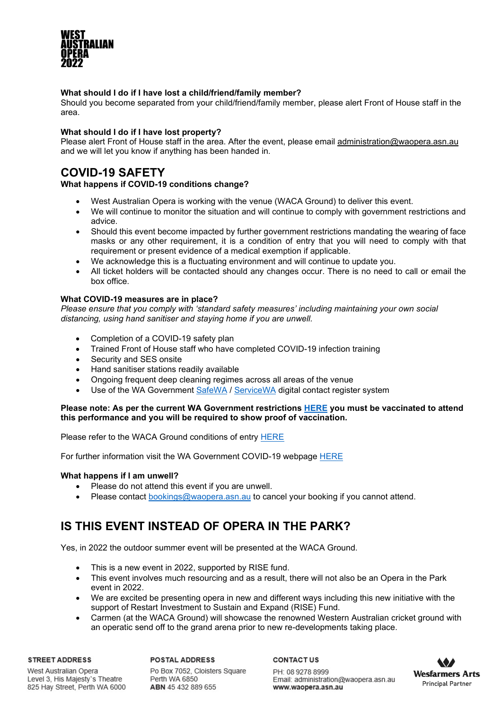

#### **What should I do if I have lost a child/friend/family member?**

Should you become separated from your child/friend/family member, please alert Front of House staff in the area.

#### **What should I do if I have lost property?**

Please alert Front of House staff in the area. After the event, please email [administration@waopera.asn.au](mailto:administration@waopera.asn.au) and we will let you know if anything has been handed in.

# **COVID-19 SAFETY**

#### **What happens if COVID-19 conditions change?**

- West Australian Opera is working with the venue (WACA Ground) to deliver this event.
- We will continue to monitor the situation and will continue to comply with government restrictions and advice.
- Should this event become impacted by further government restrictions mandating the wearing of face masks or any other requirement, it is a condition of entry that you will need to comply with that requirement or present evidence of a medical exemption if applicable.
- We acknowledge this is a fluctuating environment and will continue to update you.
- All ticket holders will be contacted should any changes occur. There is no need to call or email the box office.

#### **What COVID-19 measures are in place?**

*Please ensure that you comply with 'standard safety measures' including maintaining your own social distancing, using hand sanitiser and staying home if you are unwell.*

- Completion of a COVID-19 safety plan
- Trained Front of House staff who have completed COVID-19 infection training
- Security and SES onsite
- Hand sanitiser stations readily available
- Ongoing frequent deep cleaning regimes across all areas of the venue
- Use of the WA Government [SafeWA](https://www.wa.gov.au/government/covid-19-coronavirus/covid-19-coronavirus-safewa) / [ServiceWA](https://www.wa.gov.au/organisation/government-of-western-australia/servicewa-mobile-app) digital contact register system

#### **Please note: As per the current WA Government restrictions [HERE](https://www.wa.gov.au/government/covid-19-coronavirus/covid-19-coronavirus-what-you-can-and-cant-do) you must be vaccinated to attend this performance and you will be required to show proof of vaccination.**

Please refer to the WACA Ground conditions of entry [HERE](https://wacaground.com.au/conditions-of-entry/) 

For further information visit the WA Government COVID-19 webpage [HERE](https://www.wa.gov.au/government/covid-19-coronavirus)

#### **What happens if I am unwell?**

- Please do not attend this event if you are unwell.
- Please contact [bookings@waopera.asn.au](mailto:bookings@waopera.asn.au) to cancel your booking if you cannot attend.

# **IS THIS EVENT INSTEAD OF OPERA IN THE PARK?**

Yes, in 2022 the outdoor summer event will be presented at the WACA Ground.

- This is a new event in 2022, supported by RISE fund.
- This event involves much resourcing and as a result, there will not also be an Opera in the Park event in 2022.
- We are excited be presenting opera in new and different ways including this new initiative with the support of Restart Investment to Sustain and Expand (RISE) Fund.
- Carmen (at the WACA Ground) will showcase the renowned Western Australian cricket ground with an operatic send off to the grand arena prior to new re-developments taking place.

#### **STREET ADDRESS**

#### **POSTAL ADDRESS**

West Australian Opera Level 3, His Majesty's Theatre 825 Hay Street, Perth WA 6000 Po Box 7052, Cloisters Square Perth WA 6850 ABN 45 432 889 655

**CONTACTUS**